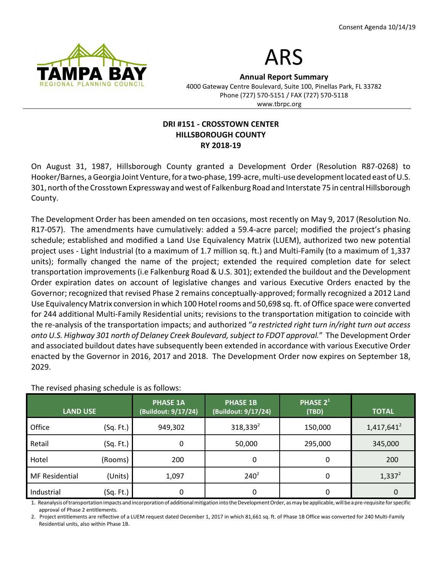



Annual Report Summary 4000 Gateway Centre Boulevard, Suite 100, Pinellas Park, FL 33782 Phone (727) 570-5151 / FAX (727) 570-5118

### www.tbrpc.org

#### DRI #151 - CROSSTOWN CENTER HILLSBOROUGH COUNTY RY 2018-19

On August 31, 1987, Hillsborough County granted a Development Order (Resolution R87-0268) to Hooker/Barnes, a Georgia Joint Venture, for a two-phase, 199-acre, multi-use development located east of U.S. 301, north of the Crosstown Expressway and west of Falkenburg Road and Interstate 75 in central Hillsborough County.

The Development Order has been amended on ten occasions, most recently on May 9, 2017 (Resolution No. R17-057). The amendments have cumulatively: added a 59.4-acre parcel; modified the project's phasing schedule; established and modified a Land Use Equivalency Matrix (LUEM), authorized two new potential project uses - Light Industrial (to a maximum of 1.7 million sq. ft.) and Multi-Family (to a maximum of 1,337 units); formally changed the name of the project; extended the required completion date for select transportation improvements (i.e Falkenburg Road & U.S. 301); extended the buildout and the Development Order expiration dates on account of legislative changes and various Executive Orders enacted by the Governor; recognized that revised Phase 2 remains conceptually-approved; formally recognized a 2012 Land Use Equivalency Matrix conversion in which 100 Hotel rooms and 50,698 sq. ft. of Office space were converted for 244 additional Multi-Family Residential units; revisions to the transportation mitigation to coincide with the re-analysis of the transportation impacts; and authorized "a restricted right turn in/right turn out access onto U.S. Highway 301 north of Delaney Creek Boulevard, subject to FDOT approval." The Development Order and associated buildout dates have subsequently been extended in accordance with various Executive Order enacted by the Governor in 2016, 2017 and 2018. The Development Order now expires on September 18, 2029.

| <b>LAND USE</b>       |           | <b>PHASE 1A</b><br>(Buildout: 9/17/24) | <b>PHASE 1B</b><br>(Buildout: 9/17/24) | PHASE 2 <sup>1</sup><br>(TBD) | <b>TOTAL</b>  |
|-----------------------|-----------|----------------------------------------|----------------------------------------|-------------------------------|---------------|
| Office                | (Sq. Ft.) | 949,302                                | $318,339^2$                            | 150,000                       | $1,417,641^2$ |
| Retail                | (Sq. Ft.) | 0                                      | 50,000                                 | 295,000                       | 345,000       |
| Hotel                 | (Rooms)   | 200                                    | 0                                      | 0                             | 200           |
| <b>MF</b> Residential | (Units)   | 1,097                                  | $240^2$                                | 0                             | $1,337^2$     |
| Industrial            | (Sq. Ft.) | 0                                      | 0                                      | 0                             |               |

The revised phasing schedule is as follows:

1. Reanalysis of transportation impacts and incorporation of additional mitigation into the Development Order, as may be applicable, will be a pre-requisite for specific approval of Phase 2 entitlements.

2. Project entitlements are reflective of a LUEM request dated December 1, 2017 in which 81,661 sq. ft. of Phase 1B Office was converted for 240 Multi-Family Residential units, also within Phase 1B.